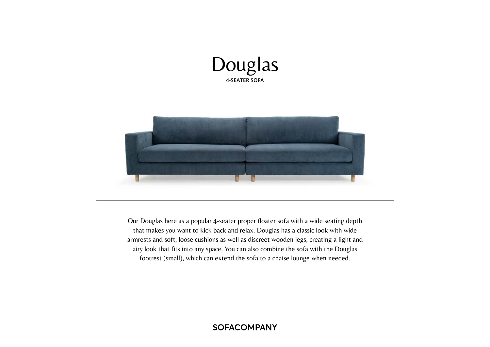



Our Douglas here as a popular 4-seater proper floater sofa with a wide seating depth that makes you want to kick back and relax. Douglas has a classic look with wide armrests and soft, loose cushions as well as discreet wooden legs, creating a light and airy look that fits into any space. You can also combine the sofa with the Douglas footrest (small), which can extend the sofa to a chaise lounge when needed.

# **SOFACOMPANY**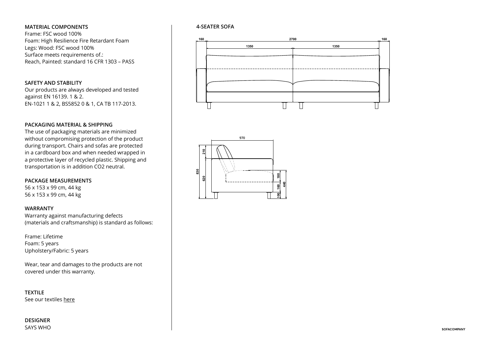#### **MATERIAL COMPONENTS**

Frame: FSC wood 100% Foam: High Resilience Fire Retardant Foam Legs: Wood: FSC wood 100% Surface meets requirements of.: Reach, Painted: standard 16 CFR 1303 – PASS

# **SAFETY AND STABILITY**

Our products are always developed and tested against EN 16139. 1 & 2. EN-1021 1 & 2, BS5852 0 & 1, CA TB 117-2013.

# **PACKAGING MATERIAL & SHIPPING**

The use of packaging materials are minimized **2700 160** without compromising protection of the product **1350 1350** during transport. Chairs and sofas are protected in a cardboard box and when needed wrapped in a protective layer of recycled plastic. Shipping and transportation is in addition CO2 neutral.

#### **PACKAGE MEASUREMENTS**

56 x 153 x 99 cm, 44 kg 56 x 153 x 99 cm, 44 kg

#### **WARRANTY**

Warranty against manufacturing defects (materials and craftsmanship) is standard as follows:

Frame: Lifetime **1510** Foam: 5 years Upholstery/Fabric: 5 years

Wear, tear and damages to the products are not covered under this warranty.

**TEXTILE** See our textiles here

**DESIGNER** SAYS WHO

# **4-SEATER SOFA**